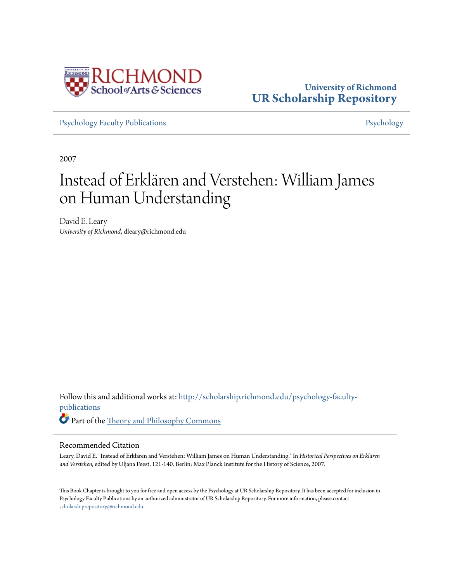

# **University of Richmond [UR Scholarship Repository](http://scholarship.richmond.edu?utm_source=scholarship.richmond.edu%2Fpsychology-faculty-publications%2F30&utm_medium=PDF&utm_campaign=PDFCoverPages)**

[Psychology Faculty Publications](http://scholarship.richmond.edu/psychology-faculty-publications?utm_source=scholarship.richmond.edu%2Fpsychology-faculty-publications%2F30&utm_medium=PDF&utm_campaign=PDFCoverPages) **[Psychology](http://scholarship.richmond.edu/psychology?utm_source=scholarship.richmond.edu%2Fpsychology-faculty-publications%2F30&utm_medium=PDF&utm_campaign=PDFCoverPages)** 

2007

# Instead of Erklären and Verstehen: William James on Human Understanding

David E. Leary *University of Richmond*, dleary@richmond.edu

Follow this and additional works at: [http://scholarship.richmond.edu/psychology-faculty](http://scholarship.richmond.edu/psychology-faculty-publications?utm_source=scholarship.richmond.edu%2Fpsychology-faculty-publications%2F30&utm_medium=PDF&utm_campaign=PDFCoverPages)[publications](http://scholarship.richmond.edu/psychology-faculty-publications?utm_source=scholarship.richmond.edu%2Fpsychology-faculty-publications%2F30&utm_medium=PDF&utm_campaign=PDFCoverPages)

Part of the [Theory and Philosophy Commons](http://network.bepress.com/hgg/discipline/1238?utm_source=scholarship.richmond.edu%2Fpsychology-faculty-publications%2F30&utm_medium=PDF&utm_campaign=PDFCoverPages)

#### Recommended Citation

Leary, David E. "Instead of Erklären and Verstehen: William James on Human Understanding." In *Historical Perspectives on Erklären and Verstehen*, edited by Uljana Feest, 121-140. Berlin: Max Planck Institute for the History of Science, 2007.

This Book Chapter is brought to you for free and open access by the Psychology at UR Scholarship Repository. It has been accepted for inclusion in Psychology Faculty Publications by an authorized administrator of UR Scholarship Repository. For more information, please contact [scholarshiprepository@richmond.edu.](mailto:scholarshiprepository@richmond.edu)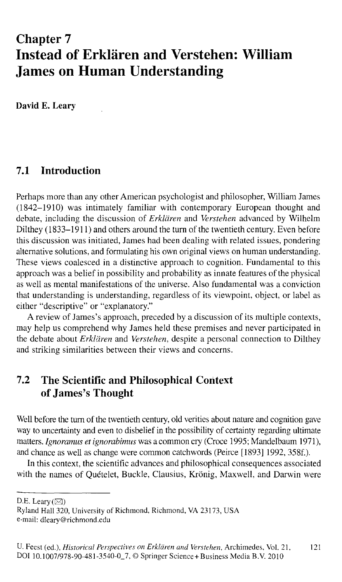# **Chapter 7 Instead of Erklaren and Verstehen: William James on Human Understanding**

**David E. Leary** 

# **7.1 Introduction**

Perhaps more than any other American psychologist and philosopher, William James (1842-1910) was intimately familiar with contemporary European thought and debate, including the discussion of *Erkliiren* and *Verstehen* advanced by Wilhelm Dilthey ( 1833-1911) and others around the turn of the twentieth century. Even before this discussion was initiated, James had been dealing with related issues, pondering alternative solutions, and formulating his own original views on human understanding. These views coalesced in a distinctive approach to cognition. Fundamental to this approach was a belief in possibility and probability as innate features of the physical as well as mental manifestations of the universe. Also fundamental was a conviction that understanding is understanding, regardless of its viewpoint, object, or label as either "descriptive" or "explanatory."

A review of James's approach, preceded by a discussion of its multiple contexts, may help us comprehend why James held these premises and never participated in the debate about *Erklaren* and *Verstehen,* despite a personal connection to Dilthey and striking similarities between their views and concerns.

# **7.2 The Scientific and PhilosophicaJ Context of James's Thought**

Well before the turn of the twentieth century, old verities about nature and cognition gave way to uncertainty and even to disbelief in the possibility of certainty regarding ultimate matters. *Ignoramus et ignorabimus* was a common cry (Croce 1995; Mandelbaum 1971), and chance as well as change were common catchwords (Peirce [1893] 1992, 358f.).

In this context, the scientific advances and philosophical consequences associated with the names of Quételet, Buckle, Clausius, Krönig, Maxwell, and Darwin were

D.E. Leary  $(\boxtimes)$ 

Ryland Hall 320, University of Richmond, Richmond, VA 23173, USA e-mail: dleary@richmond.edu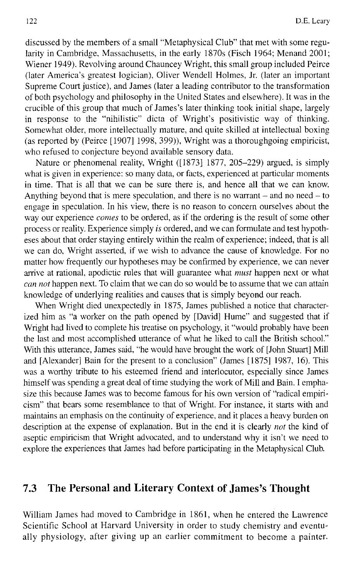discussed by the members of a small "Metaphysical Club" that met with some regularity in Cambridge, Massachusetts, in the early 1870s (Fisch 1964; Menand 2001; Wiener 1949). Revolving around Chauncey Wright, this small group included Peirce (later America's greatest logician), Oliver Wendell Holmes, Jr. (later an important Supreme Court justice), and James (later a leading contributor to the transformation of both psychology and philosophy in the United States and elsewhere). It was in the crucible of this group that much of James's later thinking took initial shape, largely in response to the "nihilistic" dicta of Wright's positivistic way of thinking. Somewhat older, more intellectually mature, and quite skilled at intellectual boxing (as reported by (Peirce [1907] 1998, 399)), Wright was a thoroughgoing empiricist, who refused to conjecture beyond available sensory data.

Nature or phenomenal reality, Wright ([1873] 1877, 205-229) argued, is simply what is given in experience: so many data, or facts, experienced at particular moments in time. That is all that we can be sure there is, and hence all that we can know. Anything beyond that is mere speculation, and there is no warrant  $-$  and no need  $-$  to engage in speculation. In his view, there is no reason to concern ourselves about the way our experience *comes* to be ordered, as if the ordering is the result of some other process or reality. Experience simply *is* ordered, and we can formulate and test hypotheses about that order staying entirely within the realm of experience; indeed, that is all we can do, Wright asserted, if we wish to advance the cause of knowledge. For no matter how frequently our hypotheses may be confirmed by experience, we can never arrive at rational, apodictic rules that will guarantee what *must* happen next or what *can not* happen next. To claim that we can do so would be to assume that we can attain knowledge of underlying realities and causes that is simply beyond our reach.

When Wright died unexpectedly in 1875, James published a notice that characterized him as "a worker on the path opened by [David] Hume" and suggested that if Wright had lived to complete his treatise on psychology, it "would probably have been the last and most accomplished utterance of what he liked to call the British school." With this utterance, James said, "he would have brought the work of [John Stuart] Mill and [Alexander] Bain for the present to a conclusion" (James [1875] 1987, 16). This was a worthy tribute to his esteemed friend and interlocutor, especially since James himself was spending a great deal of time studying the work of Mill and Bain. I emphasize this because James was to become famous for his own version of "radical empiricism" that bears some resemblance to that of Wright. For instance, it starts with and maintains an emphasis on the continuity of experience, and it places a heavy burden on description at the expense of explanation. But in the end it is clearly *not* the kind of aseptic empiricism that Wright advocated, and to understand why it isn't we need to explore the experiences that James had before participating in the Metaphysical Club.

# **7.3 The Personal and Literary Context of James's Thought**

William James had moved to Cambridge in 1861, when he entered the Lawrence Scientific School at Harvard University in order to study chemistry and eventually physiology, after giving up an earlier commitment to become a painter.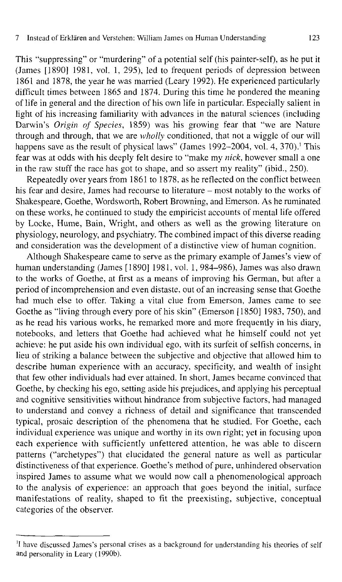This "suppressing" or "murdering" of a potential self (his painter-self), as he put it (James [1890] 1981, vol. 1, 295), led to frequent periods of depression between 1861 and 1878, the year he was married (Leary 1992). He experienced particularly difficult times between 1865 and 1874. During this time he pondered the meaning of life in general and the direction of his own life in particular. Especially salient in light of his increasing familiarity with advances in the natural sciences (including Darwin's *Origin of Species,* 1859) was his growing fear that "we are Nature through and through, that we are *wholly* conditioned, that not a wiggle of our will happens save as the result of physical laws" (James 1992–2004, vol. 4, 370).<sup>1</sup> This fear was at odds with his deeply felt desire to "make my *nick,* however small a one in the raw stuff the race has got to shape, and so assert my reality" (ibid., 250).

Repeatedly over years from 1861 to 1878, as he reflected on the conflict between his fear and desire, James had recourse to literature – most notably to the works of Shakespeare, Goethe, Wordsworth, Robert Browning, and Emerson. As he ruminated on these works, he continued to study the empiricist accounts of mental life offered by Locke, Hume, Bain, Wright, and others as well as the growing literature on physiology, neurology, and psychiatry. The combined impact of this diverse reading and consideration was the development of a distinctive view of human cognition.

Although Shakespeare came to serve as the primary example of James's view of human understanding (James [1890] 1981, vol. 1, 984-986), James was also drawn to the works of Goethe, at first as a means of improving his German, but after a period of incomprehension and even distaste, out of an increasing sense that Goethe had much else to offer. Taking a vital clue from Emerson, James came to see Goethe as "living through every pore of his skin" (Emerson [1850] 1983, 750), and as he read his various works, he remarked more and more frequently in his diary, notebooks, and letters that Goethe had achieved what he himself could not yet achieve: he put aside his own individual ego, with its surfeit of selfish concerns, in lieu of striking a balance between the subjective and objective that allowed him to describe human experience with an accuracy, specificity, and wealth of insight that few other individuals had ever attained. In short, James became convinced that Goethe, by checking his ego, setting aside his prejudices, and applying his perceptual and cognitive sensitivities without hindrance from subjective factors, had managed to understand and convey a richness of detail and significance that transcended typical, prosaic description of the phenomena that he studied. For Goethe, each individual experience was unique and worthy in its own right; yet in focusing upon each experience with sufficiently unfettered attention, he was able to discern patterns ("archetypes") that elucidated the general nature as well as particular distinctiveness of that experience. Goethe's method of pure, unhindered observation inspired James to assume what we would now call a phenomenological approach to the analysis of experience: an approach that goes beyond the initial, surface manifestations of reality, shaped to fit the preexisting, subjective, conceptual categories of the observer.

<sup>&#</sup>x27;I have discussed James's personal crises as a background for understanding his theories of self and personality in Leary (1990b).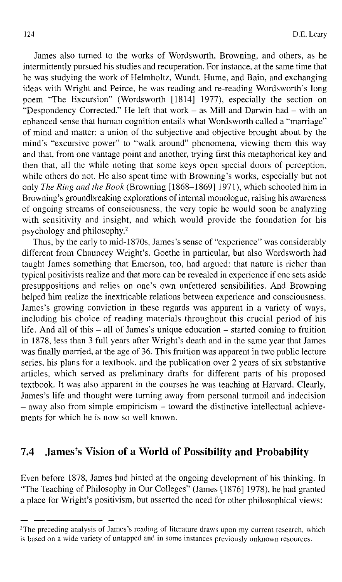James also turned to the works of Wordsworth, Browning, and others, as he intermittently pursued his studies and recuperation. For instance, at the same time that he was studying the work of Helmholtz, Wundt, Hume, and Bain, and exchanging ideas with Wright and Peirce, he was reading and re-reading Wordsworth's long poem "The Excursion" (Wordsworth [1814] 1977), especially the section on "Despondency Corrected." He left that work  $-$  as Mill and Darwin had  $-$  with an enhanced sense that human cognition entails what Wordsworth called a "marriage" of mind and matter: a union of the subjective and objective brought about by the mind's "excursive power" to "walk around" phenomena, viewing them this way and that, from one vantage point and another, trying first this metaphorical key and then that, all the while noting that some keys open special doors of perception, while others do not. He also spent time with Browning's works, especially but not only *The Ring and the Book* (Browning [ 1868-1869] 1971 ), which schooled him in Browning's groundbreaking explorations of internal monologue, raising his awareness of ongoing streams of consciousness, the very topic he would soon be analyzing with sensitivity and insight, and which would provide the foundation for his psychology and philosophy. <sup>2</sup>

Thus, by the early to mid-1870s, James's sense of "experience" was considerably different from Chauncey Wright's. Goethe in particular, but also Wordsworth had taught James something that Emerson, too, had argued: that nature is richer than typical positivists realize and that more can be revealed in experience if one sets aside presuppositions and relies on one's own unfettered sensibilities. And Browning helped him realize the inextricable relations between experience and consciousness. James's growing conviction in these regards was apparent in a variety of ways, including his choice of reading materials throughout this crucial period of his life. And all of this - all of James's unique education - started coming to fruition in 1878, less than 3 full years after Wright's death and in the same year that James was finally married, at the age of 36. This fruition was apparent in two public lecture series, his plans for a textbook, and the publication over 2 years of six substantive articles, which served as preliminary drafts for different parts of his proposed textbook. It was also apparent in the courses he was teaching at Harvard. Clearly, James's life and thought were turning away from personal turmoil and indecision - away also from simple empiricism - toward the distinctive intellectual achievements for which he is now so well known.

#### **7.4 James's Vision of a World of Possibility and Probability**

Even before 1878, James had hinted at the ongoing development of his thinking. In "The Teaching of Philosophy in Our Colleges" (James [1876] 1978), he had granted a place for Wright's positivism, but asserted the need for other philosophical views:

<sup>&</sup>lt;sup>2</sup>The preceding analysis of James's reading of literature draws upon my current research, which is based on a wide variety of untapped and in some instances previously unknown resources.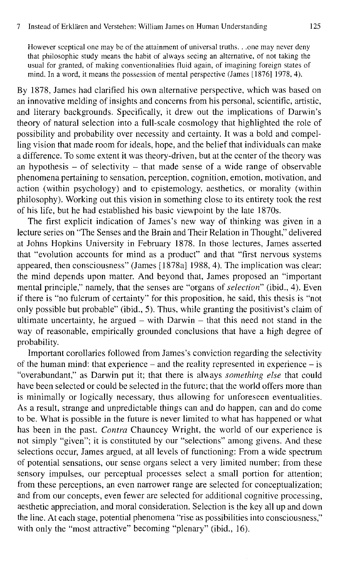However sceptical one may be of the attainment of universal truths ... one may never deny that philosophic study means the habit of always seeing an alternative, of not taking the usual for granted, of making conventionalities fluid again, of imagining foreign states of mind. In a word, it means the possession of mental perspective (James [1876] 1978, 4).

By 1878, James had clarified his own alternative perspective, which was based on an innovative melding of insights and concerns from his personal, scientific, artistic, and literary backgrounds. Specifically, it drew out the implications of Darwin's theory of natural selection into a full-scale cosmology that highlighted the role of possibility and probability over necessity and certainty. It was a bold and compelling vision that made room for ideals, hope, and the belief that individuals can make a difference. To some extent it was theory-driven, but at the center of the theory was an hypothesis  $-$  of selectivity  $-$  that made sense of a wide range of observable phenomena pertaining to sensation, perception, cognition, emotion, motivation, and action (within psychology) and to epistemology, aesthetics, or morality (within philosophy). Working out this vision in something close to its entirety took the rest of his life, but he had established his basic viewpoint by the late 1870s.

The first explicit indication of James's new way of thinking was given in a lecture series on "The Senses and the Brain and Their Relation in Thought," delivered at Johns Hopkins University in February 1878. In those lectures, James asserted that "evolution accounts for mind as a product" and that "first nervous systems appeared, then consciousness" (James [1878a] 1988, 4). The implication was clear: the mind depends upon matter. And beyond that, James proposed an "important mental principle," namely, that the senses are "organs of *selection"* (ibid., 4). Even if there is "no fulcrum of certainty" for this proposition, he said, this thesis is "not only possible but probable" (ibid., 5). Thus, while granting the positivist's claim of ultimate uncertainty, he argued  $-$  with Darwin  $-$  that this need not stand in the way of reasonable, empirically grounded conclusions that have a high degree of probability.

Important corollaries followed from James's conviction regarding the selectivity of the human mind: that experience  $-$  and the reality represented in experience  $-$  is "overabundant," as Darwin put it; that there is always *something else* that could have been selected or could be selected in the future; that the world offers more than is minimally or logically necessary, thus allowing for unforeseen eventualities. As a result, strange and unpredictable things can and do happen, can and do come to be. What is possible in the future is never limited to what has happened or what has been in the past. *Contra* Chauncey Wright, the world of our experience is not simply "given"; it is constituted by our "selections" among givens. And these selections occur, James argued, at all levels of functioning: From a wide spectrum of potential sensations, our sense organs select a very limited number; from these sensory impulses, our perceptual processes select a small portion for attention; from these perceptions, an even narrower range are selected for conceptualization; and from our concepts, even fewer are selected for additional cognitive processing, aesthetic appreciation, and moral consideration. Selection is the key all up and down the line. At each stage, potential phenomena "rise as possibilities into consciousness," with only the "most attractive" becoming "plenary" (ibid., 16).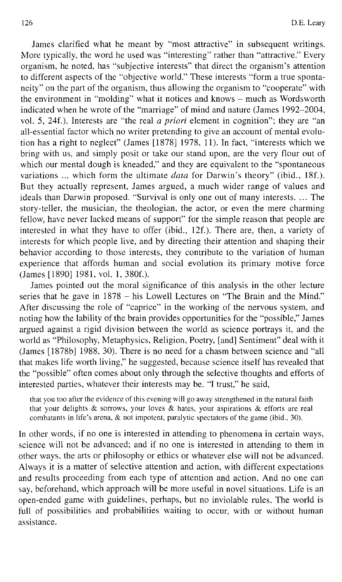James clarified what he meant by "most attractive" in subsequent writings. More typically, the word he used was "interesting" rather than "attractive." Every organism, he noted, has "subjective interests" that direct the organism's attention to different aspects of the "objective world." These interests "form a true spontaneity" on the part of the organism, thus allowing the organism to "cooperate" with the environment in "molding" what it notices and knows – much as Wordsworth indicated when he wrote of the "marriage" of mind and nature (James 1992-2004, vol. 5, 24f.). Interests are "the real *a priori* element in cognition"; they are "an all-essential factor which no writer pretending to give an account of mental evolution has a right to neglect" (James [1878] 1978, 11). In fact, "interests which we bring with us, and simply posit or take our stand upon, are the very flour out of which our mental dough is kneaded," and they are equivalent to the "spontaneous" variations ... which form the ultimate *data* for Darwin's theory" (ibid., 18f.). But they actually represent, James argued, a much wider range of values and ideals than Darwin proposed. "Survival is only one out of many interests .... The story-teller, the musician, the theologian, the actor, or even the mere charming fellow, have never lacked means of support" for the simple reason that people are interested in what they have to offer (ibid., 12f.). There are, then, a variety of interests for which people live, and by directing their attention and shaping their behavior according to those interests, they contribute to the variation of human experience that affords human and social evolution its primary motive force (James [1890] 1981, vol. 1, 380f.).

James pointed out the moral significance of this analysis in the other lecture series that he gave in 1878 – his Lowell Lectures on "The Brain and the Mind." After discussing the role of "caprice" in the working of the nervous system, and noting how the !ability of the brain provides opportunities for the "possible," James argued against a rigid division between the world as science portrays it, and the world as "Philosophy, Metaphysics, Religion, Poetry, [and] Sentiment" deal with it (James [1878b] 1988, 30). There is no need for a chasm between science and "all that makes life worth living," he suggested, because science itself has revealed that the "possible" often comes about only through the selective thoughts and efforts of interested parties, whatever their interests may be. "I trust," he said,

that you too after the evidence of this evening will go away strengthened in the natural faith that your delights & sorrows, your loves & hates, your aspirations & efforts are real combatants in life's arena, & not impotent, paralytic spectators of the game (ibid., 30).

In other words, if no one is interested in attending to phenomena in certain ways, science will not be advanced; and if no one is interested in attending to them in other ways, the arts or philosophy or ethics or whatever else will not be advanced. Always it is a matter of selective attention and action, with different expectations and results proceeding from each type of attention and action. And no one can say, beforehand, which approach will be more useful in novel situations. Life is an open-ended game with guidelines, perhaps, but no inviolable rules. The world is full of possibilities and probabilities waiting to occur, with or without human assistance.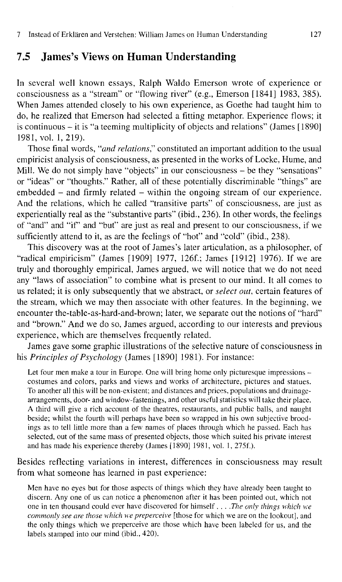## **7.5 James's Views on Human Understanding**

In several well known essays, Ralph Waldo Emerson wrote of experience or consciousness as a "stream" or "flowing river" (e.g., Emerson [1841] 1983, 385). When James attended closely to his own experience, as Goethe had taught him to do, he realized that Emerson had selected a fitting metaphor. Experience flows; it is continuous - it is "a teeming multiplicity of objects and relations" (James [ 1890] 1981, vol. 1, 219).

Those final words, *"and relations,"* constituted an important addition to the usual empiricist analysis of consciousness, as presented in the works of Locke, Hume, and Mill. We do not simply have "objects" in our consciousness - be they "sensations" or "ideas" or "thoughts." Rather, all of these potentially discriminable "things" are embedded - and firmly related - within the ongoing stream of our experience. And the relations, which he called "transitive parts" of consciousness, are just as experientially real as the "substantive parts" (ibid., 236). In other words, the feelings of "and" and "if' and "but" are just as real and present to our consciousness, if we sufficiently attend to it, as are the feelings of "hot" and "cold" (ibid., 238).

This discovery was at the root of James's later articulation, as a philosopher, of "radical empiricism" (James [1909] 1977, 126f.; James [1912] 1976). If we are truly and thoroughly empirical, James argued, we will notice that we do not need any "laws of association" to combine what is present to our mind. It all comes to us related; it is only subsequently that we abstract, or *select out,* certain features of the stream, which we may then associate with other features. In the beginning, we encounter the-table-as-hard-and-brown; later, we separate out the notions of "hard" and "brown." And we do so, James argued, according to our interests and previous experience, which are themselves frequently related.

James gave some graphic illustrations of the selective nature of consciousness in his *Principles of Psychology* (James [1890] 1981). For instance:

Let four men make a tour in Europe. One will bring home only picturesque impressions – costumes and colors, parks and views and works of architecture, pictures and statues. To another all this will be non-existent; and distances and prices, populations and drainagearrangements, door- and window-fastenings, and other useful statistics will take their place. A third will give a rich account of the theatres, restaurants, and public balls, and naught beside; whilst the fourth will perhaps have been so wrapped in his own subjective broodings as to tell little more than a few names of places through which he passed. Each has selected, out of the same mass of presented objects, those which suited his private interest and has made his experience thereby (James [1890] 1981, vol. 1, 275f.).

Besides reflecting variations in interest, differences in consciousness may result from what someone has learned in past experience:

Men have no eyes but for those aspects of things which they have already been taught to discern. Any one of us can notice a phenomenon after it has been pointed out, which not one in ten thousand could ever have discovered for himself ... *. The only things which we commonly see are those which we preperceive* [those for which we are on the lookout], and the only things which we preperceive are those which have been labeled for us, and the labels stamped into our mind (ibid., 420).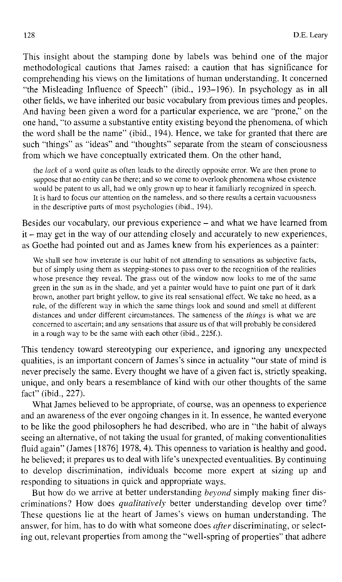This insight about the stamping done by labels was behind one of the major methodological cautions that James raised: a caution that has significance for comprehending his views on the limitations of human understanding. It concerned "the Misleading Influence of Speech" (ibid., 193-196). In psychology as in all other fields, we have inherited our basic vocabulary from previous times and peoples. And having been given a word for a particular experience, we are "prone," on the one hand, "to assume a substantive entity existing beyond the phenomena, of which the word shall be the name" (ibid., 194 ). Hence, we take for granted that there are such "things" as "ideas" and "thoughts" separate from the steam of consciousness from which we have conceptually extricated them. On the other hand,

the *lack* of a word quite as often leads to the directly opposite error. We are then prone to suppose that no entity can be there; and so we come to overlook phenomena whose existence would be patent to us all, had we only grown up to hear it familiarly recognized in speech. It is hard to focus our attention on the nameless, and so there results a certain vacuousness in the descriptive parts of most psychologies (ibid., 194).

Besides our vocabulary, our previous experience – and what we have learned from it - may get in the way of our attending closely and accurately to new experiences, as Goethe had pointed out and as James knew from his experiences as a painter:

We shall see how inveterate is our habit of not attending to sensations as subjective facts, but of simply using them as stepping-stones to pass over to the recognition of the realities whose presence they reveal. The grass out of the window now looks to me of the same green in the sun as in the shade, and yet a painter would have to paint one part of it dark brown, another part bright yellow, to give its real sensational effect. We take no heed, as a rule, of the different way in which the same things look and sound and smell at different distances and under different circumstances. The sameness of the *things* is what we are concerned to ascertain; and any sensations that assure us of that will probably be considered in a rough way to be the same with each other (ibid., 225f.).

This tendency toward stereotyping our experience, and ignoring any unexpected qualities, is an important concern of James's since in actuality "our state of mind is never precisely the same. Every thought we have of a given fact is, strictly speaking, unique, and only bears a resemblance of kind with our other thoughts of the same fact" (ibid., 227).

What James believed to be appropriate, of course, was an openness to experience and an awareness of the ever ongoing changes in it. In essence, he wanted everyone to be like the good philosophers he had described, who are in "the habit of always seeing an alternative, of not taking the usual for granted, of making conventionalities fluid again" (James [1876] 1978, 4). This openness to variation is healthy and good, he believed; it prepares us to deal with life's unexpected eventualities. By continuing to develop discrimination, individuals become more expert at sizing up and responding to situations in quick and appropriate ways.

But how do we arrive at better understanding *beyond* simply making finer discriminations? How does *qualitatively* better understanding develop over time? These questions lie at the heart of James's views on human understanding. The answer, for him, has to do with what someone does *after* discriminating, or selecting out, relevant properties from among the "well-spring of properties" that adhere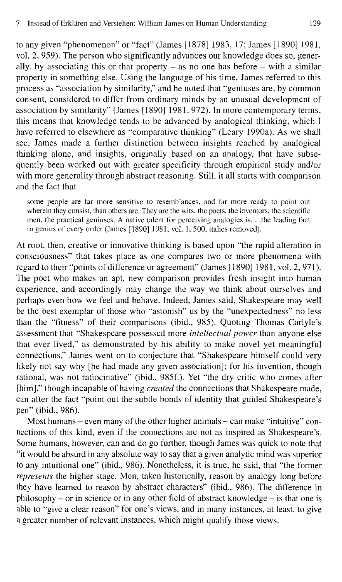to any given "phenomenon" or "fact" (James [1878] 1983, 17; James [1890] 1981, vol. 2, 959). The person who significantly advances our knowledge does so, generally, by associating this or that property – as no one has before – with a similar property in something else. Using the language of his time, James referred to this process as "association by similarity," and he noted that "geniuses are, by common consent, considered to differ from ordinary minds by an unusual development of association by similarity" (James [ 1890] 1981, 972). In more contemporary terms, this means that knowledge tends to be advanced by analogical thinking, which I have referred to elsewhere as "comparative thinking" (Leary 1990a). As we shall see, James made a further distinction between insights reached by analogical thinking alone, and insights, originally based on an analogy, that have subsequently been worked out with greater specificity through empirical study and/or with more generality through abstract reasoning. Still, it all starts with comparison and the fact that

some people are far more sensitive to resemblances, and far more ready to point out wherein they consist, than others are. They are the wits, the poets, the inventors, the scientific men, the practical geniuses. A native talent for perceiving analogies is ... the leading fact in genius of every order (James [ 1890] 1981, vol. 1, 500, italics removed).

At root, then, creative or innovative thinking is based upon "the rapid alteration in consciousness" that takes place as one compares two or more phenomena with regard to their "points of difference or agreement" (James [ 1890] 1981, vol. 2, 971). The poet who makes an apt, new comparison provides fresh insight into human experience, and accordingly may change the way we think about ourselves and perhaps even how we feel and behave. Indeed, James said, Shakespeare may well be the best exemplar of those who "astonish" us by the "unexpectedness" no less than the "fitness" of their comparisons (ibid., 985). Quoting Thomas Carlyle's assessment that "Shakespeare possessed more *intellectual power* than anyone else that ever lived," as demonstrated by his ability to make novel yet meaningful connections," James went on to conjecture that "Shakespeare himself could very likely not say why [he had made any given association]; for his invention, though rational, was not ratiocinative" (ibid., 985f.). Yet "the dry critic who comes after [him]," though incapable of having *created* the connections that Shakespeare made, can after the fact "point out the subtle bonds of identity that guided Shakespeare's pen" (ibid., 986).

Most humans - even many of the other higher animals - can make "intuitive" connections of this kind, even if the connections are not as inspired as Shakespeare's. Some humans, however, can and do go further, though James was quick to note that "it would be absurd in any absolute way to say that a given analytic mind was superior to any intuitional one" (ibid., 986). Nonetheless, it is true, he said, that "the former *represents* the higher stage. Men, taken historically, reason by analogy long before they have learned to reason by abstract characters" (ibid., 986). The difference in  $philosophy - or in science or in any other field of abstract knowledge - is that one is$ able to "give a clear reason" for one's views, and in many instances, at least, to give a greater number of relevant instances, which might qualify those views.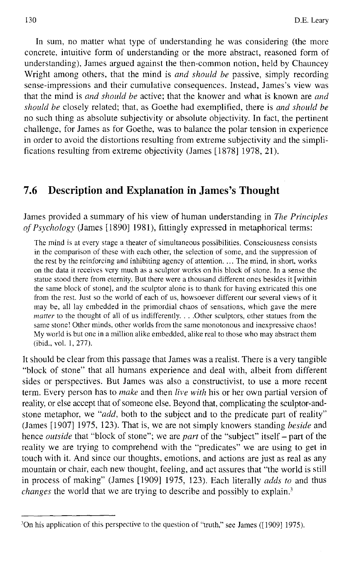In sum, no matter what type of understanding he was considering (the more concrete, intuitive form of understanding or the more abstract, reasoned form of understanding), James argued against the then-common notion, held by Chauncey Wright among others, that the mind is *and should be* passive, simply recording sense-impressions and their cumulative consequences. Instead, James's view was that the mind is *and should be* active; that the knower and what is known are *and should be* closely related; that, as Goethe had exemplified, there is *and should be*  no such thing as absolute subjectivity or absolute objectivity. In fact, the pertinent challenge, for James as for Goethe, was to balance the polar tension in experience in order to avoid the distortions resulting from extreme subjectivity and the simplifications resulting from extreme objectivity (James [1878] 1978, 21).

### **7.6 Description and Explanation in James's Thought**

James provided a summary of his view of human understanding in *The Principles of Psychology* (James [ 1890] 1981 ), fittingly expressed in metaphorical terms:

The mind is at every stage a theater of simultaneous possibilities. Consciousness consists in the comparison of these with each other, the selection of some, and the suppression of the rest by the reinforcing and inhibiting agency of attention .... The mind, in short, works on the data it receives very much as a sculptor works on his block of stone. In a sense the statue stood there from eternity. But there were a thousand different ones besides it [within the same block of stone], and the sculptor alone is to thank for having extricated this one from the rest. Just so the world of each of us, howsoever different our several views of it may be, all lay embedded in the primordial chaos of sensations, which gave the mere *matter* to the thought of all of us indifferently. . . . Other sculptors, other statues from the same stone! Other minds, other worlds from the same monotonous and inexpressive chaos! My world is but one in a million alike embedded, alike real to those who may abstract them (ibid., vol. 1, 277).

It should be clear from this passage that James was a realist. There is a very tangible "block of stone" that all humans experience and deal with, albeit from different sides or perspectives. But James was also a constructivist, to use a more recent term. Every person has to *make* and then *live with* his or her own partial version of reality, or else accept that of someone else. Beyond that, complicating the sculptor-andstone metaphor, we *"add,* both to the subject and to the predicate part of reality" (James [1907] 1975, 123). That is, we are not simply knowers standing *beside* and hence *outside* that "block of stone"; we are *part* of the "subject" itself – part of the reality we are trying to comprehend with the "predicates" we are using to get in touch with it. And since our thoughts, emotions, and actions are just as real as any mountain or chair, each new thought, feeling, and act assures that "the world is still in process of making" (James [1909] 1975, 123). Each literally *adds to* and thus *changes* the world that we are trying to describe and possibly to explain.<sup>3</sup>

<sup>&#</sup>x27;On his application of this perspective to the question of "truth," see James ([ 1909] 1975).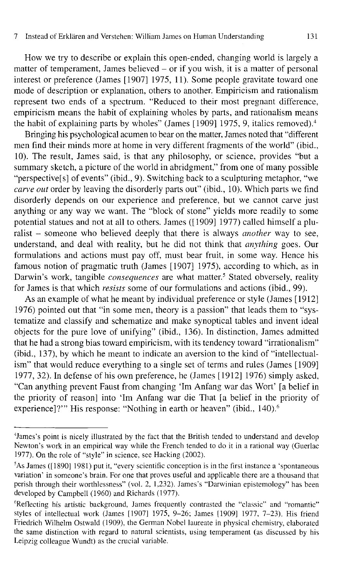How we try to describe or explain this open-ended, changing world is largely a matter of temperament, James believed – or if you wish, it is a matter of personal interest or preference (James [ 1907] 1975, 11). Some people gravitate toward one mode of description or explanation, others to another. Empiricism and rationalism represent two ends of a spectrum. "Reduced to their most pregnant difference, empiricism means the habit of explaining wholes by parts, and rationalism means the habit of explaining parts by wholes" (James [ 1909] 1975, 9, italics removed). <sup>4</sup>

Bringing his psychological acumen to bear on the matter, James noted that "different men find their minds more at home in very different fragments of the world" (ibid., 10). The result, James said, is that any philosophy, or science, provides "but a summary sketch, a picture of the world in abridgment," from one of many possible "perspective[s] of events" (ibid., 9). Switching back to a sculpturing metaphor, "we *carve out* order by leaving the disorderly parts out" (ibid., 10). Which parts we find disorderly depends on our experience and preference, but we cannot carve just anything or any way we want. The "block of stone" yields more readily to some potential statues and not at all to others. James ([ 1909] 1977) called himself a pluralist - someone who believed deeply that there is always *another* way to see, understand, and deal with reality, but he did not think that *anything* goes. Our formulations and actions must pay off, must bear fruit, in some way. Hence his famous notion of pragmatic truth (James [1907] 1975), according to which, as in Darwin's work, tangible *consequences* are what matter.5 Stated obversely, reality for James is that which *resists* some of our formulations and actions (ibid., 99).

As an example of what he meant by individual preference or style (James [1912] 1976) pointed out that "in some men, theory is a passion" that leads them to "systematize and classify and schematize and make synoptical tables and invent ideal objects for the pure love of unifying" (ibid., 136). In distinction, James admitted that he had a strong bias toward empiricism, with its tendency toward "irrationalism" (ibid., 137), by which he meant to indicate an aversion to the kind of "intellectualism" that would reduce everything to a single set of terms and rules (James [ 1909] 1977, 32). In defense of his own preference, he (James [1912] 1976) simply asked, "Can anything prevent Faust from changing 'Im Anfang war das Wort' [a belief in the priority of reason] into 'Im Anfang war die That [a belief in the priority of experience]?" His response: "Nothing in earth or heaven" (ibid., 140).<sup>6</sup>

<sup>4</sup> James's point is nicely illustrated by the fact that the British tended to understand and develop Newton's work in an empirical way while the French tended to do it in a rational way (Guerlac 1977). On the role of "style" in science, see Hacking (2002).

<sup>5</sup> As James ([1890] 1981) put it, "every scientific conception is in the first instance a 'spontaneous variation' in someone's brain. For one that proves useful and applicable there are a thousand that perish through their worthlessness" (vol. 2, 1,232). James's "Darwinian epistemology" has been developed by Campbell (1960) and Richards (1977).

<sup>6</sup> Reflecting his artistic background, James frequently contrasted the "classic" and "romantic" styles of intellectual work (James [1907] 1975, 9-26; James [1909] 1977, 7-23). His friend Friedrich Wilhelm Ostwald (1909), the German Nobel laureate in physical chemistry, elaborated the same distinction with regard to natural scientists, using temperament (as discussed by his Leipzig colleague Wundt) as the crucial variable.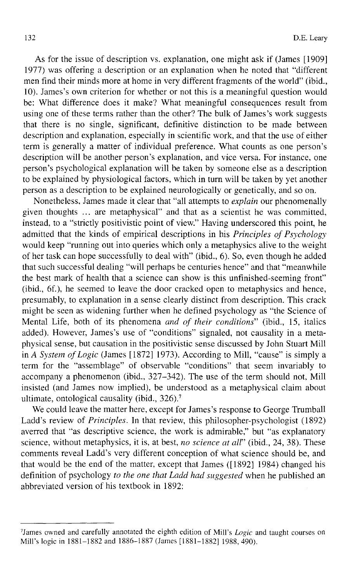As for the issue of description vs. explanation, one might ask if (James [1909] 1977) was offering a description or an explanation when he noted that "different men find their minds more at home in very different fragments of the world" (ibid., 10). James's own criterion for whether or not this is a meaningful question would be: What difference does it make? What meaningful consequences result from using one of these terms rather than the other? The bulk of James's work suggests that there is no single, significant, definitive distinction to be made between description and explanation, especially in scientific work, and that the use of either term is generally a matter of individual preference. What counts as one person's description will be another person's explanation, and vice versa. For instance, one person's psychological explanation will be taken by someone else as a description to be explained by physiological factors, which in turn will be taken by yet another person as a description to be explained neurologically or genetically, and so on.

Nonetheless, James made it clear that "all attempts to *explain* our phenomenally given thoughts ... are metaphysical" and that as a scientist he was committed, instead, to a "strictly positivistic point of view." Having underscored this point, he admitted that the kinds of empirical descriptions in his *Principles of Psychology*  would keep "running out into queries which only a metaphysics alive to the weight of her task can hope successfully to deal with" (ibid., 6). So, even though he added that such successful dealing "will perhaps be centuries hence" and that "meanwhile the best mark of health that a science can show is this unfinished-seeming front" (ibid., 6f.), he seemed to leave the door cracked open to metaphysics and hence, presumably, to explanation in a sense clearly distinct from description. This crack might be seen as widening further when he defined psychology as "the Science of Mental Life, both of its phenomena *and of their conditions"* (ibid., 15, italics added). However, James's use of "conditions" signaled, not causality in a metaphysical sense, but causation in the positivistic sense discussed by John Stuart Mill in *A System of Logic* (James [1872] 1973). According to Mill, "cause" is simply a term for the "assemblage" of observable "conditions" that seem invariably to accompany a phenomenon (ibid., 327-342). The use of the term should not, Mill insisted (and James now implied), be understood as a metaphysical claim about ultimate, ontological causality (ibid., 326).<sup>7</sup>

We could leave the matter here, except for James's response to George Trumball Ladd's review of *Principles.* In that review, this philosopher-psychologist (1892) averred that "as descriptive science, the work is admirable," but "as explanatory science, without metaphysics, it is, at best, *no science at all"* (ibid., 24, 38). These comments reveal Ladd's very different conception of what science should be, and that would be the end of the matter, except that James ([1892] 1984) changed his definition of psychology *to the one that Ladd had suggested* when he published an abbreviated version of his textbook in 1892:

 $7$ James owned and carefully annotated the eighth edition of Mill's  $Logic$  and taught courses on Mill's logic in 1881-1882 and 1886-1887 (James [1881-1882] 1988, 490).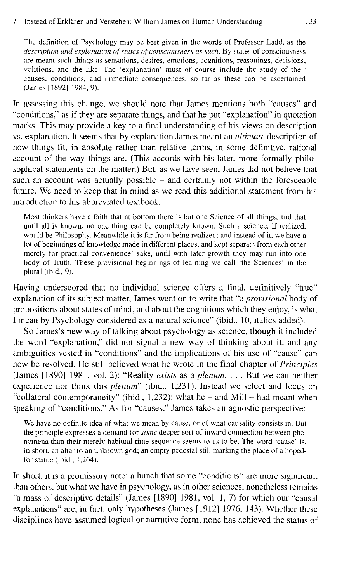The definition of Psychology may be best given in the words of Professor Ladd, as the *description and explanation of states of consciousness as such.* By states of consciousness are meant such things as sensations, desires, emotions, cognitions, reasonings, decisions, volitions, and the like. The 'explanation' must of course include the study of their causes, conditions, and immediate consequences, so far as these can be ascertained (James [1892] 1984, 9).

In assessing this change, we should note that James mentions both "causes" and "conditions," as if they are separate things, and that he put "explanation" in quotation marks. This may provide a key to a final understanding of his views on description vs. explanation. It seems that by explanation James meant an *ultimate* description of how things fit, in absolute rather than relative terms, in some definitive, rational account of the way things are. (This accords with his later, more formally philosophical statements on the matter.) But, as we have seen, James did not believe that such an account was actually possible  $-$  and certainly not within the foreseeable future. We need to keep that in mind as we read this additional statement from his introduction to his abbreviated textbook:

Most thinkers have a faith that at bottom there is but one Science of all things, and that until all is known, no one thing can be completely known. Such a science, if realized, would be Philosophy. Meanwhile it is far from being realized; and instead of it, we have a Jot of beginnings of knowledge made in different places, and kept separate from each other merely for practical convenience' sake, until with later growth they may run into one body of Truth. These provisional beginnings of learning we call 'the Sciences' in the plural (ibid., 9).

Having underscored that no individual science offers a final, definitively "true" explanation of its subject matter, James went on to write that "a *provisional* body of propositions about states of mind, and about the cognitions which they enjoy, is what I mean by Psychology considered as a natural science" (ibid., 10, italics added).

So James's new way of talking about psychology as science, though it included the word "explanation," did not signal a new way of thinking about it, and any ambiguities vested in "conditions" and the implications of his use of "cause" can now be resolved. He still believed what he wrote in the final chapter of *Principles*  (James [1890] 1981, vol. 2): "Reality *exists* as a *plenum .* ... But we can neither experience nor think this *plenum"* (ibid., 1,231). Instead we select and focus on "collateral contemporaneity" (ibid., 1,232): what he  $-$  and Mill  $-$  had meant when speaking of "conditions." As for "causes," James takes an agnostic perspective:

We have no definite idea of what we mean by cause, or of what causality consists in. But the principle expresses a demand for *some* deeper sort of inward connection between phenomena than their merely habitual time-sequence seems to us to be. The word 'cause' is, in short, an altar to an unknown god; an empty pedestal still marking the place of a hopedfor statue (ibid., 1,264).

In short, it is a promissory note: a hunch that some "conditions" are more significant than others, but what we have in psychology, as in other sciences, nonetheless remains "a mass of descriptive details" (James [1890] 1981, vol. 1, 7) for which our "causal explanations" are, in fact, only hypotheses (James [1912] 1976, 143). Whether these disciplines have assumed logical or narrative form, none has achieved the status of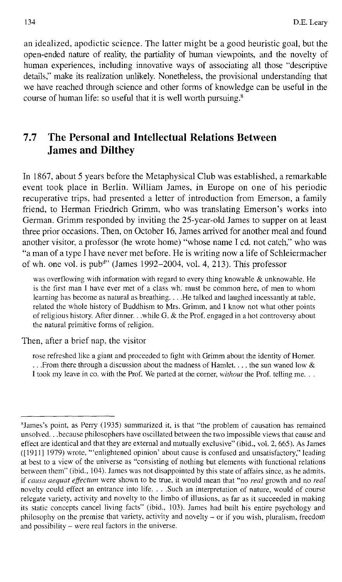an idealized, apodictic science. The latter might be a good heuristic goal, but the open-ended nature of reality, the partiality of human viewpoints, and the novelty of human experiences, including innovative ways of associating all those "descriptive details," make its realization unlikely. Nonetheless, the provisional understanding that we have reached through science and other forms of knowledge can be useful in the course of human life: so useful that it is well worth pursuing.<sup>8</sup>

# **7.7 The Personal and Intellectual Relations Between James and Dilthey**

In 1867, about 5 years before the Metaphysical Club was established, a remarkable event took place in Berlin. William James, in Europe on one of his periodic recuperative trips, had presented a letter of introduction from Emerson, a family friend, to Herman Friedrich Grimm, who was translating Emerson's works into German. Grimm responded by inviting the 25-year-old James to supper on at least three prior occasions. Then, on October 16, James arrived for another meal and found another visitor, a professor (he wrote home) "whose name I ed. not catch," who was "a man of a type I have never met before. He is writing now a life of Schleiermacher of wh. one vol. is pub<sup>d</sup>" (James 1992-2004, vol. 4, 213). This professor

was overflowing with information with regard to every thing knowable & unknowable. He is the first man I have ever met of a class wh: must be common here, of men to whom learning has become as natural as breathing. . . . He talked and laughed incessantly at table, related the whole history of Buddhism to Mrs. Grimm, and I know not what other points of religious history. After dinner. . while G. & the Prof. engaged in a hot controversy about the natural primitive forms of religion.

Then, after a brief nap, the visitor

rose refreshed like a giant and proceeded to fight with Grimm about the identity of Homer. .. . From there through a discussion about the madness of Hamlet. . . . the sun waned low & I took my leave in co. with the Prof. We parted at the corner, *without* the Prof. telling me ...

<sup>8</sup> James's point, as Perry (1935) summarized it, is that "the problem of causation has remained unsolved ... because philosophers have oscillated between the two impossible views that cause and effect are identical and that they are external and mutually exclusive" (ibid., vol. 2, 665). As James ([ 1911] 1979) wrote, '"enlightened opinion' about cause is confused and unsatisfactory," leading at best to a view of the universe as "consisting of nothing but elements with functional relations between them" (ibid., 104). James was not disappointed by this state of affairs since, as he admits, if *causa aequat ejfectum* were shown to be true, it would mean that "no *real* growth and no *real*  novelty could effect an entrance into life. . . . Such an interpretation of nature, would of course relegate variety, activity and novelty to the limbo of illusions, as far as it succeeded in making its static concepts cancel living facts" (ibid., 103). James had built his entire psychology and philosophy on the premise that variety, activity and novelty - or if you wish, pluralism, freedom and possibility – were real factors in the universe.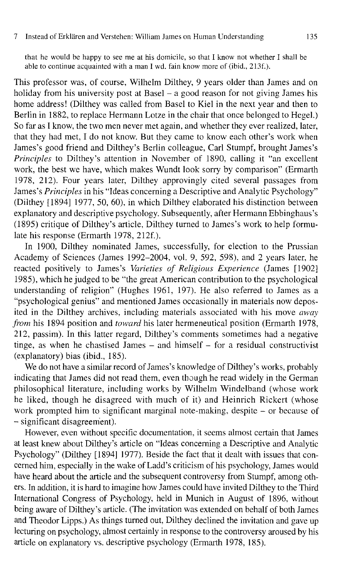that he would be happy to see me at his domicile, so that I know not whether I shall be able to continue acquainted with a man I wd. fain know more of (ibid., 213f.).

This professor was, of course, Wilhelm Dilthey, 9 years older than James and on holiday from his university post at Basel - a good reason for not giving James his home address! (Dilthey was called from Basel to Kiel in the next year and then to Berlin in 1882, to replace Hermann Lotze in the chair that once belonged to Hegel.) So far as I know, the two men never met again, and whether they ever realized, later, that they had met, I do not know. But they came to know each other's work when James's good friend and Dilthey's Berlin colleague, Carl Stumpf, brought James's *Principles* to Dilthey's attention in November of 1890, calling it "an excellent work, the best we have, which makes Wundt look sorry by comparison" (Ermarth 1978, 212). Four years later, Dilthey approvingly cited several passages from James's *Principles* in his "Ideas concerning a Descriptive and Analytic Psychology" (Dilthey [ 1894] 1977, 50, 60), in which Dilthey elaborated his distinction between explanatory and descriptive psychology. Subsequently, after Hermann Ebbinghaus 's (1895) critique of Dilthey's article, Dilthey turned to James's work to help formulate his response (Ermarth 1978, 212f.).

In 1900, Dilthey nominated James, successfully, for election to the Prussian Academy of Sciences (James 1992-2004, vol. 9, 592, 598), and 2 years later, he reacted positively to James's *Varieties of Religious Experience* (James [1902] 1985), which he judged to be "the great American contribution to the psychological understanding of religion" (Hughes 1961, 197). He also referred to James as a "psychological genius" and mentioned James occasionally in materials now deposited in the Dilthey archives, including materials associated with his move *away from* his 1894 position and *toward* his later hermeneutical position (Ermarth 1978, 212, passim). In this latter regard, Dilthey's comments sometimes had a negative tinge, as when he chastised James - and himself - for a residual constructivist (explanatory) bias (ibid., 185).

We do not have a similar record of James's knowledge of Dilthey's works, probably indicating that James did not read them, even though he read widely in the German philosophical literature, including works by Wilhelm Windelband (whose work he liked, though he disagreed with much of it) and Heinrich Rickert (whose work prompted him to significant marginal note-making, despite - or because of - significant disagreement).

However, even without specific documentation, it seems almost certain that James at least knew about Dilthey's article on "Ideas concerning a Descriptive and Analytic Psychology" (Dilthey [1894] 1977). Beside the fact that it dealt with issues that concerned him, especially in the wake ofLadd's criticism of his psychology, James would have heard about the article and the subsequent controversy from Stumpf, among others. In addition, it is hard to imagine how James could have invited Dilthey to the Third International Congress of Psychology, held in Munich in August of 1896, without being aware of Dilthey's article. (The invitation was extended on behalf of both James and Theodor Lipps.) As things turned out, Dilthey declined the invitation and gave up lecturing on psychology, almost certainly in response to the controversy aroused by his article on explanatory vs. descriptive psychology (Ermarth 1978, 185).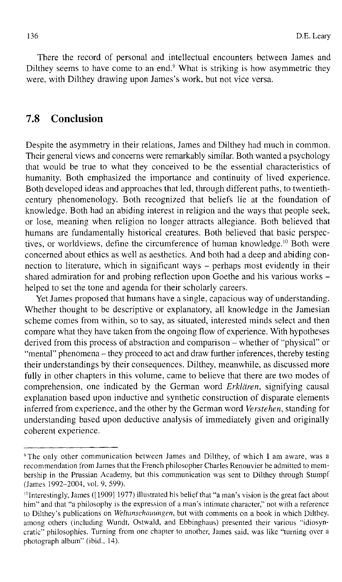There the record of personal and intellectual encounters between James and Dilthey seems to have come to an end.<sup>9</sup> What is striking is how asymmetric they were, with Dilthey drawing upon James's work, but not vice versa.

# 7 .8 **Conclusion**

Despite the asymmetry in their relations, James and Dilthey had much in common. Their general views and concerns were remarkably similar. Both wanted a psychology that would be true to what they conceived to be the essential characteristics of humanity. Both emphasized the importance and continuity of lived experience. Both developed ideas and approaches that led, through different paths, to twentiethcentury phenomenology. Both recognized that beliefs lie at the foundation of knowledge. Both had an abiding interest in religion and the ways that people seek, or lose, meaning when religion no longer attracts allegiance. Both believed that humans are fundamentally historical creatures. Both believed that basic perspectives, or worldviews, define the circumference of human knowledge.<sup>10</sup> Both were concerned about ethics as well as aesthetics. And both had a deep and abiding connection to literature, which in significant ways - perhaps most evidently in their shared admiration for and probing reflection upon Goethe and his various works – helped to set the tone and agenda for their scholarly careers.

Yet James proposed that humans have a single, capacious way of understanding. Whether thought to be descriptive or explanatory, all knowledge in the Jamesian scheme comes from within, so to say, as situated, interested minds select and then compare what they have taken from the ongoing flow of experience. With hypotheses derived from this process of abstraction and comparison – whether of "physical" or "mental" phenomena – they proceed to act and draw further inferences, thereby testing their understandings by their consequences. Dilthey, meanwhile, as discussed more fully in other chapters in this volume, came to believe that there are two modes of comprehension, one indicated by the German word *Erkldren,* signifying causal explanation based upon inductive and synthetic construction of disparate elements inferred from experience, and the other by the German word *Verstehen,* standing for understanding based upon deductive analysis of immediately given and originally coherent experience.

<sup>9</sup> The only other communication between James and Dilthey, of which I am aware, was a recommendation from James that the French philosopher Charles Renouvier be admitted to membership in the Prussian Academy, but this communication was sent to Dilthey through Stumpf (James 1992-2004, vol. 9, 599).

<sup>10</sup> Jnterestingly, James ([1909] 1977) illustrated his belief that "a man's vision is the great fact about him" and that "a philosophy is the expression of a man's intimate character," not with a reference to Dilthey's publications on *Weltanschauungen,* but with comments on a book in which Dilthey, among others (including Wundt, Ostwald, and Ebbinghaus) presented their various "idiosyncratic" philosophies. Turning from one chapter to another, James said, was like "turning over a photograph album" (ibid., 14).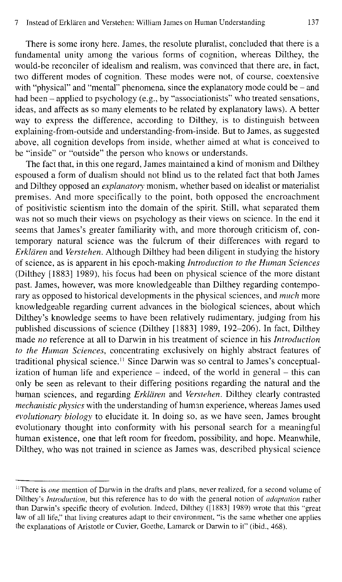There is some irony here. James, the resolute pluralist, concluded that there is a fundamental unity among the various forms of cognition, whereas Dilthey, the would-be reconciler of idealism and realism, was convinced that there are, in fact, two different modes of cognition. These modes were not, of course, coextensive with "physical" and "mental" phenomena, since the explanatory mode could be – and had been – applied to psychology (e.g., by "associationists" who treated sensations, ideas, and affects as so many elements to be related by explanatory laws). A better way to express the difference, according to Dilthey, is to distinguish between explaining-from-outside and understanding-from-inside. But to James, as suggested above, all cognition develops from inside, whether aimed at what is conceived to be "inside" or "outside" the person who knows or understands.

The fact that, in this one regard, James maintained a kind of monism and Dilthey espoused a form of dualism should not blind us to the related fact that both James and Dilthey opposed an *explanatory* monism, whether based on idealist or materialist premises. And more specifically to the point, both opposed the encroachment of positivistic scientism into the domain of the spirit. Still, what separated them was not so much their views on psychology as their views on science. In the end it seems that James's greater familiarity with, and more thorough criticism of, contemporary natural science was the fulcrum of their differences with regard to *Erkliiren* and *Verstehen.* Although Dilthey had been diligent in studying the history of science, as is apparent in his epoch-making *Introduction to the Human Sciences*  (Dilthey [1883] 1989), his focus had been on physical science of the more distant past. James, however, was more knowledgeable than Dilthey regarding contemporary as opposed to historical developments in the physical sciences, and *much* more knowledgeable regarding current advances in the biological sciences, about which Dilthey's knowledge seems to have been relatively rudimentary, judging from his published discussions of science (Dilthey [1883] 1989, 192-206). In fact, Dilthey made *no* reference at all to Darwin in his treatment of science in his *Introduction to the Human Sciences,* concentrating exclusively on highly abstract features of traditional physical science.<sup>11</sup> Since Darwin was so central to James's conceptualization of human life and experience  $-$  indeed, of the world in general  $-$  this can only be seen as relevant to their differing positions regarding the natural and the human sciences, and regarding *Erkliiren* and *Verstehen.* Dilthey clearly contrasted *mechanistic physics* with the understanding of human experience, whereas James used *evolutionary biology* to elucidate it. In doing so, as we have seen, James brought evolutionary thought into conformity with his personal search for a meaningful human existence, one that left room for freedom, possibility, and hope. Meanwhile, Dilthey, who was not trained in science as James was, described physical science

<sup>&</sup>lt;sup>11</sup> There is *one* mention of Darwin in the drafts and plans, never realized, for a second volume of Dilthey's *Introduction,* but this reference has to do with the general notion of *adaptation* rather than Darwin's specific theory of evolution. Indeed, Dilthey ([1883] 1989) wrote that this "great law of all life," that living creatures adapt to their environment, "is the same whether one applies the explanations of Aristotle or Cuvier, Goethe, Lamarck or Darwin to it" (ibid., 468).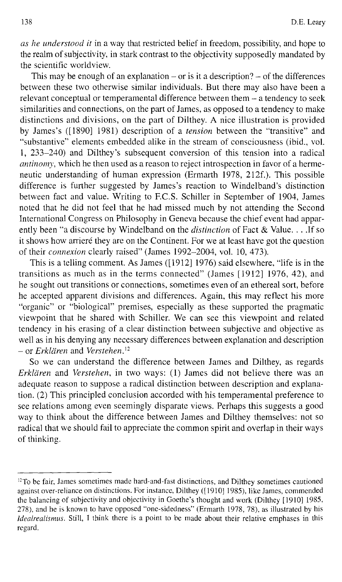*as he understood it* in a way that restricted belief in freedom, possibility, and hope to the realm of subjectivity, in stark contrast to the objectivity supposedly mandated by the scientific worldview.

This may be enough of an explanation  $-$  or is it a description?  $-$  of the differences between these two otherwise similar individuals. But there may also have been a relevant conceptual or temperamental difference between them - a tendency to seek similarities and connections, on the part of James, as opposed to a tendency to make distinctions and divisions, on the part of Dilthey. A nice illustration is provided by James's ([1890] 1981) description of a *tension* between the "transitive" and "substantive" elements embedded alike in the stream of consciousness (ibid., vol. 1, 233-240) and Dilthey's subsequent conversion of this tension into a radical *antinomy*, which he then used as a reason to reject introspection in favor of a hermeneutic understanding of human expression (Ermarth 1978, 212f.). This possible difference is further suggested by James's reaction to Windelband's distinction between fact and value. Writing to F.C.S. Schiller in September of 1904, James noted that he did not feel that he had missed much by not attending the Second International Congress on Philosophy in Geneva because the chief event had apparently been "a discourse by Windelband on the *distinction* of Fact & Value ... .If so it shows how arriere they are on the Continent. For we at least have got the question of their *connexion* clearly raised" (James 1992-2004, vol. 10, 473).

This is a telling comment. As James ([1912] 1976) said elsewhere, "life is in the transitions as much as in the terms connected" (James [ 1912] 1976, 42), and he sought out transitions or connections, sometimes even of an ethereal sort, before he accepted apparent divisions and differences. Again, this may reflect his more "organic" or "biological" premises, especially as these supported the pragmatic viewpoint that he shared with Schiller. We can see this viewpoint and related tendency in his erasing of a clear distinction between subjective and objective as well as in his denying any necessary differences between explanation and description - or *Erkliiren* and *Verstehen.* <sup>12</sup>

So we can understand the difference between James and Dilthey, as regards *Erkliiren* and *Verstehen,* in two ways: (1) James did not believe there was an adequate reason to suppose a radical distinction between description and explanation. (2) This principled conclusion accorded with his temperamental preference to see relations among even seemingly disparate views. Perhaps this suggests a good way to think about the difference between James and Dilthey themselves: not so radical that we should fail to appreciate the common spirit and overlap in their ways of thinking.

<sup>&</sup>lt;sup>12</sup>To be fair, James sometimes made hard-and-fast distinctions, and Dilthey sometimes cautioned against over-reliance on distinctions. For instance, Dilthey ([1910] 1985), like James, commended the balancing of subjectivity and objectivity in Goethe's thought and work (Dilthey [1910] 1985, 278), and he is known to have opposed "one-sidedness" (Ermarth 1978, 78), as illustrated by his *ldealrealismus.* Still, I think there is a point to be made about their relative emphases in this regard.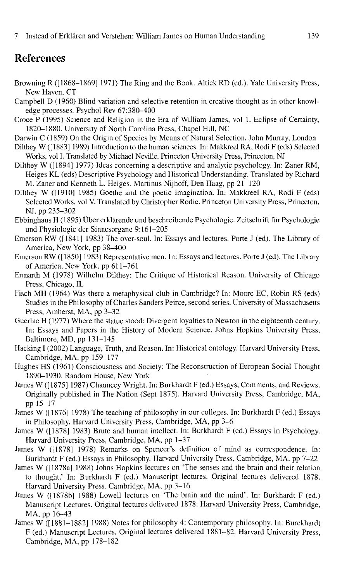# **References**

Browning R ([1868-1869] 1971) The Ring and the Book. Altick RD (ed.). Yale University Press, New Haven, CT

Campbell D (1960) Blind variation and selective retention in creative thought as in other knowledge processes. Psycho! Rev 67:380-400

Croce P (1995) Science and Religion in the Era of William James, vol 1. Eclipse of Certainty, 1820-1880. University of North Carolina Press, Chapel Hill, NC

Darwin C ( 1859) On the Origin of Species by Means of Natural Selection. John Murray, London

- Dilthey W ([1883] 1989) Introduction to the human sciences. In: Makkreel RA, Rodi F (eds) Selected Works, vol I. Translated by Michael Neville. Princeton University Press, Princeton, NJ
- Dilthey W ([1894] 1977) Ideas concerning a descriptive and analytic psychology. In: Zaner RM, Heiges KL (eds) Descriptive Psychology and Historical Understanding. Translated by Richard M. Zaner and Kenneth L. Heiges. Martinus Nijhoff, Den Haag, pp 21-120
- Dilthey W ([1910] 1985) Goethe and the poetic imagination. In: Makkreel RA, Rodi F (eds) Selected Works, vol V. Translated by Christopher Rodie. Princeton University Press, Princeton, NJ, pp 235-302
- Ebbinghaus H (1895) Ober erklarende und beschreibende Psychologie. Zeitschrift flir Psychologie und Physiologie der Sinnesorgane 9:161-205
- Emerson RW ([1841] 1983) The over-soul. In: Essays and lectures. Porte J (ed). The Library of America, New York, pp 38-400
- Emerson RW ([1850] 1983) Representative men. In: Essays and lectures. Porte J (ed). The Library of America, New York, pp 611-761
- Ermarth M (1978) Wilhelm Dilthey: The Critique of Historical Reason. University of Chicago Press, Chicago, IL
- Fisch MH (1964) Was there a metaphysical club in Cambridge? In: Moore EC, Robin RS (eds) Studies in the Philosophy of Charles Sanders Peirce, second series. University of Massachusetts Press, Amherst, MA, pp 3-32
- Guerlac H (1977) Where the statue stood: Divergent loyalties to Newton in the eighteenth century. In: Essays and Papers in the History of Modern Science. Johns Hopkins University Press, Baltimore, MD, pp 131-145
- Hacking I (2002) Language, Truth, and Reason. In: Historical ontology. Harvard University Press, Cambridge, MA, pp 159-177
- Hughes HS (1961) Consciousness and Society: The Reconstruction of European Social Thought 1890-1930. Random House, New York
- James W ([1875] l 987) Chauncey Wright. In: Burkhardt F (ed.) Essays, Comments, and Reviews. Originally published in The Nation (Sept 1875). Harvard University Press, Cambridge, MA, pp 15-17
- James W ([1876] 1978) The teaching of philosophy in our colleges. In: Burkhardt F (ed.) Essays in Philosophy. Harvard University Press, Cambridge, MA, pp 3-6
- James W ([1878] 1983) Brute and human intellect. In: Burkhardt F (ed.) Essays in Psychology. Harvard University Press, Cambridge, MA, pp 1-37
- James W ([1878] 1978) Remarks on Spencer's definition of mind as correspondence. In: Burkhardt F (ed.) Essays in Philosophy. Harvard University Press, Cambridge, MA, pp 7-22
- James W ([1878a] 1988) Johns Hopkins lectures on 'The senses and the brain and their relation to thought.' In: Burkhardt F (ed.) Manuscript lectures. Original lectures delivered 1878. Harvard University Press. Cambridge, MA, pp 3-16
- James W ([1878b] 1988) Lowell lectures on 'The brain and the mind'. In: Burkhardt F (ed.) Manuscript Lectures. Original lectures delivered 1878. Harvard University Press, Cambridge, MA, pp 16-43
- James W ([1881-1882] 1988) Notes for philosophy 4: Contemporary philosophy. In: Burckhardt F (ed.) Manuscript Lectures. Original lectures delivered 1881-82. Harvard University Press, Cambridge, MA, pp 178-182